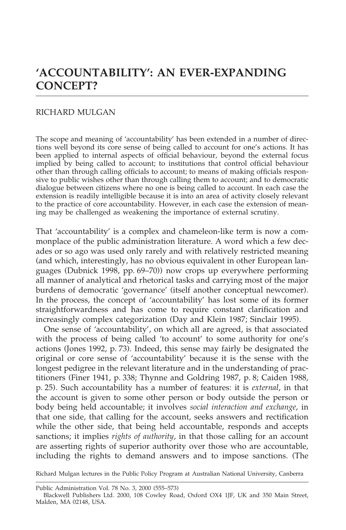# **'ACCOUNTABILITY': AN EVER-EXPANDING CONCEPT?**

#### RICHARD MULGAN

The scope and meaning of 'accountability' has been extended in a number of directions well beyond its core sense of being called to account for one's actions. It has been applied to internal aspects of official behaviour, beyond the external focus implied by being called to account; to institutions that control official behaviour other than through calling officials to account; to means of making officials responsive to public wishes other than through calling them to account; and to democratic dialogue between citizens where no one is being called to account. In each case the extension is readily intelligible because it is into an area of activity closely relevant to the practice of core accountability. However, in each case the extension of meaning may be challenged as weakening the importance of external scrutiny.

That 'accountability' is a complex and chameleon-like term is now a commonplace of the public administration literature. A word which a few decades or so ago was used only rarely and with relatively restricted meaning (and which, interestingly, has no obvious equivalent in other European languages (Dubnick 1998, pp. 69–70)) now crops up everywhere performing all manner of analytical and rhetorical tasks and carrying most of the major burdens of democratic 'governance' (itself another conceptual newcomer). In the process, the concept of 'accountability' has lost some of its former straightforwardness and has come to require constant clarification and increasingly complex categorization (Day and Klein 1987; Sinclair 1995).

One sense of 'accountability', on which all are agreed, is that associated with the process of being called 'to account' to some authority for one's actions (Jones 1992, p. 73). Indeed, this sense may fairly be designated the original or core sense of 'accountability' because it is the sense with the longest pedigree in the relevant literature and in the understanding of practitioners (Finer 1941, p. 338; Thynne and Goldring 1987, p. 8; Caiden 1988, p. 25). Such accountability has a number of features: it is *external*, in that the account is given to some other person or body outside the person or body being held accountable; it involves *social interaction and exchange*, in that one side, that calling for the account, seeks answers and rectification while the other side, that being held accountable, responds and accepts sanctions; it implies *rights of authority*, in that those calling for an account are asserting rights of superior authority over those who are accountable, including the rights to demand answers and to impose sanctions. (The

Richard Mulgan lectures in the Public Policy Program at Australian National University, Canberra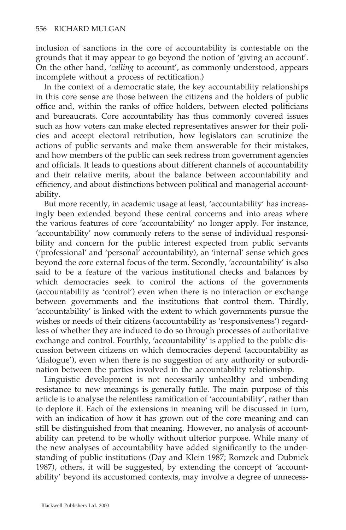inclusion of sanctions in the core of accountability is contestable on the grounds that it may appear to go beyond the notion of 'giving an account'. On the other hand, '*calling* to account', as commonly understood, appears incomplete without a process of rectification.)

In the context of a democratic state, the key accountability relationships in this core sense are those between the citizens and the holders of public office and, within the ranks of office holders, between elected politicians and bureaucrats. Core accountability has thus commonly covered issues such as how voters can make elected representatives answer for their policies and accept electoral retribution, how legislators can scrutinize the actions of public servants and make them answerable for their mistakes, and how members of the public can seek redress from government agencies and officials. It leads to questions about different channels of accountability and their relative merits, about the balance between accountability and efficiency, and about distinctions between political and managerial accountability.

But more recently, in academic usage at least, 'accountability' has increasingly been extended beyond these central concerns and into areas where the various features of core 'accountability' no longer apply. For instance, 'accountability' now commonly refers to the sense of individual responsibility and concern for the public interest expected from public servants ('professional' and 'personal' accountability), an 'internal' sense which goes beyond the core external focus of the term. Secondly, 'accountability' is also said to be a feature of the various institutional checks and balances by which democracies seek to control the actions of the governments (accountability as 'control') even when there is no interaction or exchange between governments and the institutions that control them. Thirdly, 'accountability' is linked with the extent to which governments pursue the wishes or needs of their citizens (accountability as 'responsiveness') regardless of whether they are induced to do so through processes of authoritative exchange and control. Fourthly, 'accountability' is applied to the public discussion between citizens on which democracies depend (accountability as 'dialogue'), even when there is no suggestion of any authority or subordination between the parties involved in the accountability relationship.

Linguistic development is not necessarily unhealthy and unbending resistance to new meanings is generally futile. The main purpose of this article is to analyse the relentless ramification of 'accountability', rather than to deplore it. Each of the extensions in meaning will be discussed in turn, with an indication of how it has grown out of the core meaning and can still be distinguished from that meaning. However, no analysis of accountability can pretend to be wholly without ulterior purpose. While many of the new analyses of accountability have added significantly to the understanding of public institutions (Day and Klein 1987; Romzek and Dubnick 1987), others, it will be suggested, by extending the concept of 'accountability' beyond its accustomed contexts, may involve a degree of unnecess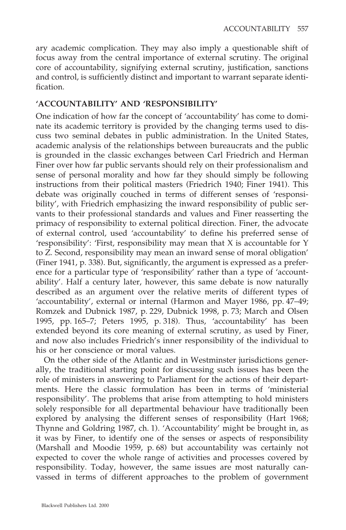ary academic complication. They may also imply a questionable shift of focus away from the central importance of external scrutiny. The original core of accountability, signifying external scrutiny, justification, sanctions and control, is sufficiently distinct and important to warrant separate identification.

# **'ACCOUNTABILITY' AND 'RESPONSIBILITY'**

One indication of how far the concept of 'accountability' has come to dominate its academic territory is provided by the changing terms used to discuss two seminal debates in public administration. In the United States, academic analysis of the relationships between bureaucrats and the public is grounded in the classic exchanges between Carl Friedrich and Herman Finer over how far public servants should rely on their professionalism and sense of personal morality and how far they should simply be following instructions from their political masters (Friedrich 1940; Finer 1941). This debate was originally couched in terms of different senses of 'responsibility', with Friedrich emphasizing the inward responsibility of public servants to their professional standards and values and Finer reasserting the primacy of responsibility to external political direction. Finer, the advocate of external control, used 'accountability' to define his preferred sense of 'responsibility': 'First, responsibility may mean that X is accountable for Y to Z. Second, responsibility may mean an inward sense of moral obligation' (Finer 1941, p. 338). But, significantly, the argument is expressed as a preference for a particular type of 'responsibility' rather than a type of 'accountability'. Half a century later, however, this same debate is now naturally described as an argument over the relative merits of different types of 'accountability', external or internal (Harmon and Mayer 1986, pp. 47–49; Romzek and Dubnick 1987, p. 229, Dubnick 1998, p. 73; March and Olsen 1995, pp. 165–7; Peters 1995, p. 318). Thus, 'accountability' has been extended beyond its core meaning of external scrutiny, as used by Finer, and now also includes Friedrich's inner responsibility of the individual to his or her conscience or moral values.

On the other side of the Atlantic and in Westminster jurisdictions generally, the traditional starting point for discussing such issues has been the role of ministers in answering to Parliament for the actions of their departments. Here the classic formulation has been in terms of 'ministerial responsibility'. The problems that arise from attempting to hold ministers solely responsible for all departmental behaviour have traditionally been explored by analysing the different senses of responsibility (Hart 1968; Thynne and Goldring 1987, ch. 1). 'Accountability' might be brought in, as it was by Finer, to identify one of the senses or aspects of responsibility (Marshall and Moodie 1959, p. 68) but accountability was certainly not expected to cover the whole range of activities and processes covered by responsibility. Today, however, the same issues are most naturally canvassed in terms of different approaches to the problem of government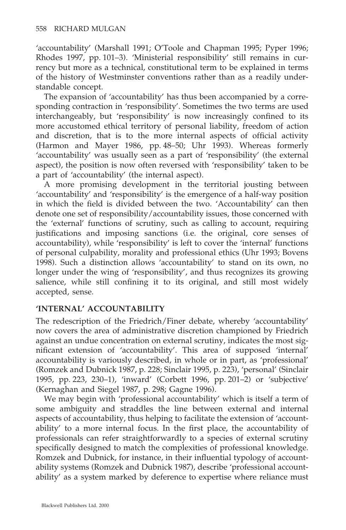'accountability' (Marshall 1991; O'Toole and Chapman 1995; Pyper 1996; Rhodes 1997, pp. 101–3). 'Ministerial responsibility' still remains in currency but more as a technical, constitutional term to be explained in terms of the history of Westminster conventions rather than as a readily understandable concept.

The expansion of 'accountability' has thus been accompanied by a corresponding contraction in 'responsibility'. Sometimes the two terms are used interchangeably, but 'responsibility' is now increasingly confined to its more accustomed ethical territory of personal liability, freedom of action and discretion, that is to the more internal aspects of official activity (Harmon and Mayer 1986, pp. 48–50; Uhr 1993). Whereas formerly 'accountability' was usually seen as a part of 'responsibility' (the external aspect), the position is now often reversed with 'responsibility' taken to be a part of 'accountability' (the internal aspect).

A more promising development in the territorial jousting between 'accountability' and 'responsibility' is the emergence of a half-way position in which the field is divided between the two. 'Accountability' can then denote one set of responsibility/accountability issues, those concerned with the 'external' functions of scrutiny, such as calling to account, requiring justifications and imposing sanctions (i.e. the original, core senses of accountability), while 'responsibility' is left to cover the 'internal' functions of personal culpability, morality and professional ethics (Uhr 1993; Bovens 1998). Such a distinction allows 'accountability' to stand on its own, no longer under the wing of 'responsibility', and thus recognizes its growing salience, while still confining it to its original, and still most widely accepted, sense.

# **'INTERNAL' ACCOUNTABILITY**

The redescription of the Friedrich/Finer debate, whereby 'accountability' now covers the area of administrative discretion championed by Friedrich against an undue concentration on external scrutiny, indicates the most significant extension of 'accountability'. This area of supposed 'internal' accountability is variously described, in whole or in part, as 'professional' (Romzek and Dubnick 1987, p. 228; Sinclair 1995, p. 223), 'personal' (Sinclair 1995, pp. 223, 230–1), 'inward' (Corbett 1996, pp. 201–2) or 'subjective' (Kernaghan and Siegel 1987, p. 298; Gagne 1996).

We may begin with 'professional accountability' which is itself a term of some ambiguity and straddles the line between external and internal aspects of accountability, thus helping to facilitate the extension of 'accountability' to a more internal focus. In the first place, the accountability of professionals can refer straightforwardly to a species of external scrutiny specifically designed to match the complexities of professional knowledge. Romzek and Dubnick, for instance, in their influential typology of accountability systems (Romzek and Dubnick 1987), describe 'professional accountability' as a system marked by deference to expertise where reliance must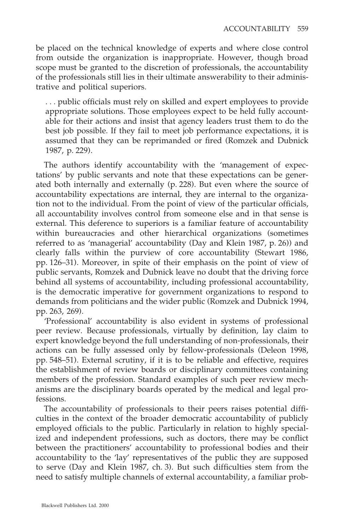be placed on the technical knowledge of experts and where close control from outside the organization is inappropriate. However, though broad scope must be granted to the discretion of professionals, the accountability of the professionals still lies in their ultimate answerability to their administrative and political superiors.

. . . public officials must rely on skilled and expert employees to provide appropriate solutions. Those employees expect to be held fully accountable for their actions and insist that agency leaders trust them to do the best job possible. If they fail to meet job performance expectations, it is assumed that they can be reprimanded or fired (Romzek and Dubnick 1987, p. 229).

The authors identify accountability with the 'management of expectations' by public servants and note that these expectations can be generated both internally and externally (p. 228). But even where the source of accountability expectations are internal, they are internal to the organization not to the individual. From the point of view of the particular officials, all accountability involves control from someone else and in that sense is external. This deference to superiors is a familiar feature of accountability within bureaucracies and other hierarchical organizations (sometimes referred to as 'managerial' accountability (Day and Klein 1987, p. 26)) and clearly falls within the purview of core accountability (Stewart 1986, pp. 126–31). Moreover, in spite of their emphasis on the point of view of public servants, Romzek and Dubnick leave no doubt that the driving force behind all systems of accountability, including professional accountability, is the democratic imperative for government organizations to respond to demands from politicians and the wider public (Romzek and Dubnick 1994, pp. 263, 269).

'Professional' accountability is also evident in systems of professional peer review. Because professionals, virtually by definition, lay claim to expert knowledge beyond the full understanding of non-professionals, their actions can be fully assessed only by fellow-professionals (Deleon 1998, pp. 548–51). External scrutiny, if it is to be reliable and effective, requires the establishment of review boards or disciplinary committees containing members of the profession. Standard examples of such peer review mechanisms are the disciplinary boards operated by the medical and legal professions.

The accountability of professionals to their peers raises potential difficulties in the context of the broader democratic accountability of publicly employed officials to the public. Particularly in relation to highly specialized and independent professions, such as doctors, there may be conflict between the practitioners' accountability to professional bodies and their accountability to the 'lay' representatives of the public they are supposed to serve (Day and Klein 1987, ch. 3). But such difficulties stem from the need to satisfy multiple channels of external accountability, a familiar prob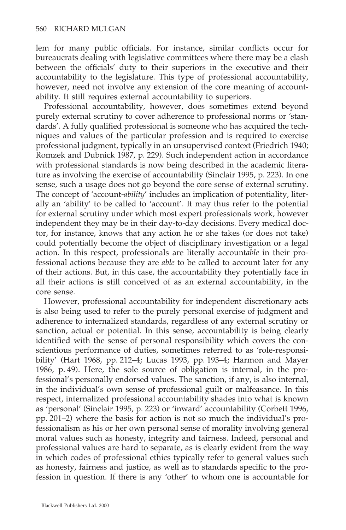lem for many public officials. For instance, similar conflicts occur for bureaucrats dealing with legislative committees where there may be a clash between the officials' duty to their superiors in the executive and their accountability to the legislature. This type of professional accountability, however, need not involve any extension of the core meaning of accountability. It still requires external accountability to superiors.

Professional accountability, however, does sometimes extend beyond purely external scrutiny to cover adherence to professional norms or 'standards'. A fully qualified professional is someone who has acquired the techniques and values of the particular profession and is required to exercise professional judgment, typically in an unsupervised context (Friedrich 1940; Romzek and Dubnick 1987, p. 229). Such independent action in accordance with professional standards is now being described in the academic literature as involving the exercise of accountability (Sinclair 1995, p. 223). In one sense, such a usage does not go beyond the core sense of external scrutiny. The concept of 'account-*ability*' includes an implication of potentiality, literally an 'ability' to be called to 'account'. It may thus refer to the potential for external scrutiny under which most expert professionals work, however independent they may be in their day-to-day decisions. Every medical doctor, for instance, knows that any action he or she takes (or does not take) could potentially become the object of disciplinary investigation or a legal action. In this respect, professionals are literally account*able* in their professional actions because they are *able* to be called to account later for any of their actions. But, in this case, the accountability they potentially face in all their actions is still conceived of as an external accountability, in the core sense.

However, professional accountability for independent discretionary acts is also being used to refer to the purely personal exercise of judgment and adherence to internalized standards, regardless of any external scrutiny or sanction, actual or potential. In this sense, accountability is being clearly identified with the sense of personal responsibility which covers the conscientious performance of duties, sometimes referred to as 'role-responsibility' (Hart 1968, pp. 212–4; Lucas 1993, pp. 193–4; Harmon and Mayer 1986, p. 49). Here, the sole source of obligation is internal, in the professional's personally endorsed values. The sanction, if any, is also internal, in the individual's own sense of professional guilt or malfeasance. In this respect, internalized professional accountability shades into what is known as 'personal' (Sinclair 1995, p. 223) or 'inward' accountability (Corbett 1996, pp. 201–2) where the basis for action is not so much the individual's professionalism as his or her own personal sense of morality involving general moral values such as honesty, integrity and fairness. Indeed, personal and professional values are hard to separate, as is clearly evident from the way in which codes of professional ethics typically refer to general values such as honesty, fairness and justice, as well as to standards specific to the profession in question. If there is any 'other' to whom one is accountable for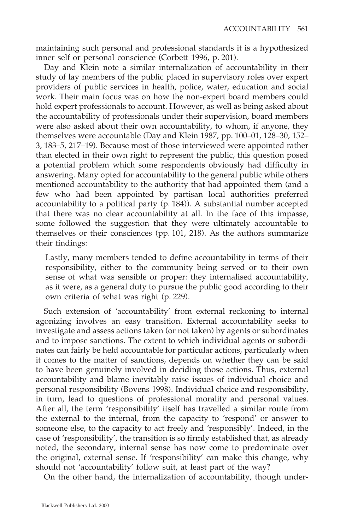maintaining such personal and professional standards it is a hypothesized inner self or personal conscience (Corbett 1996, p. 201).

Day and Klein note a similar internalization of accountability in their study of lay members of the public placed in supervisory roles over expert providers of public services in health, police, water, education and social work. Their main focus was on how the non-expert board members could hold expert professionals to account. However, as well as being asked about the accountability of professionals under their supervision, board members were also asked about their own accountability, to whom, if anyone, they themselves were accountable (Day and Klein 1987, pp. 100–01, 128–30, 152– 3, 183–5, 217–19). Because most of those interviewed were appointed rather than elected in their own right to represent the public, this question posed a potential problem which some respondents obviously had difficulty in answering. Many opted for accountability to the general public while others mentioned accountability to the authority that had appointed them (and a few who had been appointed by partisan local authorities preferred accountability to a political party (p. 184)). A substantial number accepted that there was no clear accountability at all. In the face of this impasse, some followed the suggestion that they were ultimately accountable to themselves or their consciences (pp. 101, 218). As the authors summarize their findings:

Lastly, many members tended to define accountability in terms of their responsibility, either to the community being served or to their own sense of what was sensible or proper: they internalised accountability, as it were, as a general duty to pursue the public good according to their own criteria of what was right (p. 229).

Such extension of 'accountability' from external reckoning to internal agonizing involves an easy transition. External accountability seeks to investigate and assess actions taken (or not taken) by agents or subordinates and to impose sanctions. The extent to which individual agents or subordinates can fairly be held accountable for particular actions, particularly when it comes to the matter of sanctions, depends on whether they can be said to have been genuinely involved in deciding those actions. Thus, external accountability and blame inevitably raise issues of individual choice and personal responsibility (Bovens 1998). Individual choice and responsibility, in turn, lead to questions of professional morality and personal values. After all, the term 'responsibility' itself has travelled a similar route from the external to the internal, from the capacity to 'respond' or answer to someone else, to the capacity to act freely and 'responsibly'. Indeed, in the case of 'responsibility', the transition is so firmly established that, as already noted, the secondary, internal sense has now come to predominate over the original, external sense. If 'responsibility' can make this change, why should not 'accountability' follow suit, at least part of the way?

On the other hand, the internalization of accountability, though under-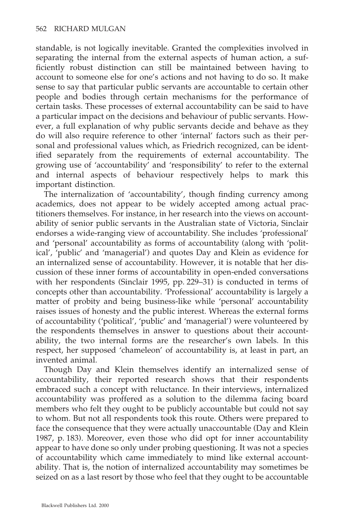standable, is not logically inevitable. Granted the complexities involved in separating the internal from the external aspects of human action, a sufficiently robust distinction can still be maintained between having to account to someone else for one's actions and not having to do so. It make sense to say that particular public servants are accountable to certain other people and bodies through certain mechanisms for the performance of certain tasks. These processes of external accountability can be said to have a particular impact on the decisions and behaviour of public servants. However, a full explanation of why public servants decide and behave as they do will also require reference to other 'internal' factors such as their personal and professional values which, as Friedrich recognized, can be identified separately from the requirements of external accountability. The growing use of 'accountability' and 'responsibility' to refer to the external and internal aspects of behaviour respectively helps to mark this important distinction.

The internalization of 'accountability', though finding currency among academics, does not appear to be widely accepted among actual practitioners themselves. For instance, in her research into the views on accountability of senior public servants in the Australian state of Victoria, Sinclair endorses a wide-ranging view of accountability. She includes 'professional' and 'personal' accountability as forms of accountability (along with 'political', 'public' and 'managerial') and quotes Day and Klein as evidence for an internalized sense of accountability. However, it is notable that her discussion of these inner forms of accountability in open-ended conversations with her respondents (Sinclair 1995, pp. 229–31) is conducted in terms of concepts other than accountability. 'Professional' accountability is largely a matter of probity and being business-like while 'personal' accountability raises issues of honesty and the public interest. Whereas the external forms of accountability ('political', 'public' and 'managerial') were volunteered by the respondents themselves in answer to questions about their accountability, the two internal forms are the researcher's own labels. In this respect, her supposed 'chameleon' of accountability is, at least in part, an invented animal.

Though Day and Klein themselves identify an internalized sense of accountability, their reported research shows that their respondents embraced such a concept with reluctance. In their interviews, internalized accountability was proffered as a solution to the dilemma facing board members who felt they ought to be publicly accountable but could not say to whom. But not all respondents took this route. Others were prepared to face the consequence that they were actually unaccountable (Day and Klein 1987, p. 183). Moreover, even those who did opt for inner accountability appear to have done so only under probing questioning. It was not a species of accountability which came immediately to mind like external accountability. That is, the notion of internalized accountability may sometimes be seized on as a last resort by those who feel that they ought to be accountable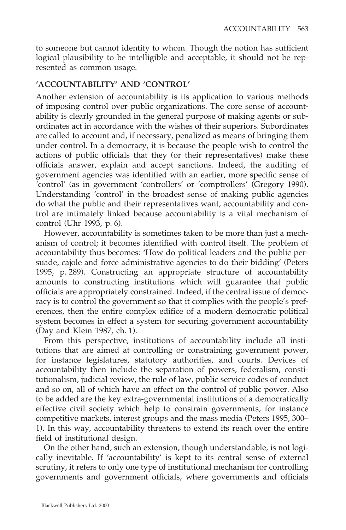to someone but cannot identify to whom. Though the notion has sufficient logical plausibility to be intelligible and acceptable, it should not be represented as common usage.

# **'ACCOUNTABILITY' AND 'CONTROL'**

Another extension of accountability is its application to various methods of imposing control over public organizations. The core sense of accountability is clearly grounded in the general purpose of making agents or subordinates act in accordance with the wishes of their superiors. Subordinates are called to account and, if necessary, penalized as means of bringing them under control. In a democracy, it is because the people wish to control the actions of public officials that they (or their representatives) make these officials answer, explain and accept sanctions. Indeed, the auditing of government agencies was identified with an earlier, more specific sense of 'control' (as in government 'controllers' or 'comptrollers' (Gregory 1990). Understanding 'control' in the broadest sense of making public agencies do what the public and their representatives want, accountability and control are intimately linked because accountability is a vital mechanism of control (Uhr 1993, p. 6).

However, accountability is sometimes taken to be more than just a mechanism of control; it becomes identified with control itself. The problem of accountability thus becomes: 'How do political leaders and the public persuade, cajole and force administrative agencies to do their bidding' (Peters 1995, p. 289). Constructing an appropriate structure of accountability amounts to constructing institutions which will guarantee that public officials are appropriately constrained. Indeed, if the central issue of democracy is to control the government so that it complies with the people's preferences, then the entire complex edifice of a modern democratic political system becomes in effect a system for securing government accountability (Day and Klein 1987, ch. 1).

From this perspective, institutions of accountability include all institutions that are aimed at controlling or constraining government power, for instance legislatures, statutory authorities, and courts. Devices of accountability then include the separation of powers, federalism, constitutionalism, judicial review, the rule of law, public service codes of conduct and so on, all of which have an effect on the control of public power. Also to be added are the key extra-governmental institutions of a democratically effective civil society which help to constrain governments, for instance competitive markets, interest groups and the mass media (Peters 1995, 300– 1). In this way, accountability threatens to extend its reach over the entire field of institutional design.

On the other hand, such an extension, though understandable, is not logically inevitable. If 'accountability' is kept to its central sense of external scrutiny, it refers to only one type of institutional mechanism for controlling governments and government officials, where governments and officials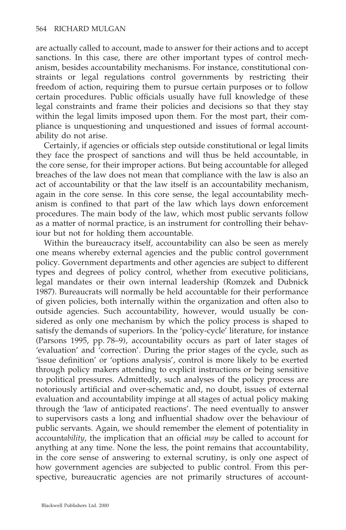are actually called to account, made to answer for their actions and to accept sanctions. In this case, there are other important types of control mechanism, besides accountability mechanisms. For instance, constitutional constraints or legal regulations control governments by restricting their freedom of action, requiring them to pursue certain purposes or to follow certain procedures. Public officials usually have full knowledge of these legal constraints and frame their policies and decisions so that they stay within the legal limits imposed upon them. For the most part, their compliance is unquestioning and unquestioned and issues of formal accountability do not arise.

Certainly, if agencies or officials step outside constitutional or legal limits they face the prospect of sanctions and will thus be held accountable, in the core sense, for their improper actions. But being accountable for alleged breaches of the law does not mean that compliance with the law is also an act of accountability or that the law itself is an accountability mechanism, again in the core sense. In this core sense, the legal accountability mechanism is confined to that part of the law which lays down enforcement procedures. The main body of the law, which most public servants follow as a matter of normal practice, is an instrument for controlling their behaviour but not for holding them accountable.

Within the bureaucracy itself, accountability can also be seen as merely one means whereby external agencies and the public control government policy. Government departments and other agencies are subject to different types and degrees of policy control, whether from executive politicians, legal mandates or their own internal leadership (Romzek and Dubnick 1987). Bureaucrats will normally be held accountable for their performance of given policies, both internally within the organization and often also to outside agencies. Such accountability, however, would usually be considered as only one mechanism by which the policy process is shaped to satisfy the demands of superiors. In the 'policy-cycle' literature, for instance (Parsons 1995, pp. 78–9), accountability occurs as part of later stages of 'evaluation' and 'correction'. During the prior stages of the cycle, such as 'issue definition' or 'options analysis', control is more likely to be exerted through policy makers attending to explicit instructions or being sensitive to political pressures. Admittedly, such analyses of the policy process are notoriously artificial and over-schematic and, no doubt, issues of external evaluation and accountability impinge at all stages of actual policy making through the 'law of anticipated reactions'. The need eventually to answer to supervisors casts a long and influential shadow over the behaviour of public servants. Again, we should remember the element of potentiality in account*ability*, the implication that an official *may* be called to account for anything at any time. None the less, the point remains that accountability, in the core sense of answering to external scrutiny, is only one aspect of how government agencies are subjected to public control. From this perspective, bureaucratic agencies are not primarily structures of account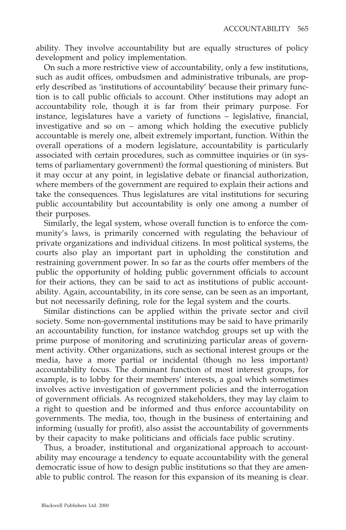ability. They involve accountability but are equally structures of policy development and policy implementation.

On such a more restrictive view of accountability, only a few institutions, such as audit offices, ombudsmen and administrative tribunals, are properly described as 'institutions of accountability' because their primary function is to call public officials to account. Other institutions may adopt an accountability role, though it is far from their primary purpose. For instance, legislatures have a variety of functions – legislative, financial, investigative and so on – among which holding the executive publicly accountable is merely one, albeit extremely important, function. Within the overall operations of a modern legislature, accountability is particularly associated with certain procedures, such as committee inquiries or (in systems of parliamentary government) the formal questioning of ministers. But it may occur at any point, in legislative debate or financial authorization, where members of the government are required to explain their actions and take the consequences. Thus legislatures are vital institutions for securing public accountability but accountability is only one among a number of their purposes.

Similarly, the legal system, whose overall function is to enforce the community's laws, is primarily concerned with regulating the behaviour of private organizations and individual citizens. In most political systems, the courts also play an important part in upholding the constitution and restraining government power. In so far as the courts offer members of the public the opportunity of holding public government officials to account for their actions, they can be said to act as institutions of public accountability. Again, accountability, in its core sense, can be seen as an important, but not necessarily defining, role for the legal system and the courts.

Similar distinctions can be applied within the private sector and civil society. Some non-governmental institutions may be said to have primarily an accountability function, for instance watchdog groups set up with the prime purpose of monitoring and scrutinizing particular areas of government activity. Other organizations, such as sectional interest groups or the media, have a more partial or incidental (though no less important) accountability focus. The dominant function of most interest groups, for example, is to lobby for their members' interests, a goal which sometimes involves active investigation of government policies and the interrogation of government officials. As recognized stakeholders, they may lay claim to a right to question and be informed and thus enforce accountability on governments. The media, too, though in the business of entertaining and informing (usually for profit), also assist the accountability of governments by their capacity to make politicians and officials face public scrutiny.

Thus, a broader, institutional and organizational approach to accountability may encourage a tendency to equate accountability with the general democratic issue of how to design public institutions so that they are amenable to public control. The reason for this expansion of its meaning is clear.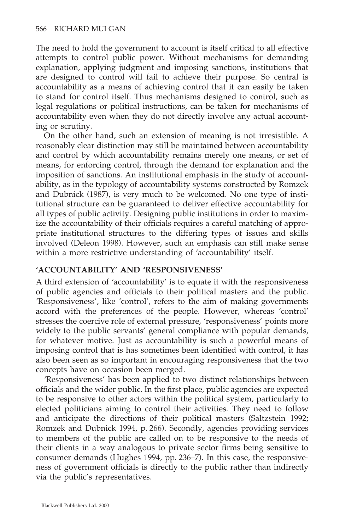The need to hold the government to account is itself critical to all effective attempts to control public power. Without mechanisms for demanding explanation, applying judgment and imposing sanctions, institutions that are designed to control will fail to achieve their purpose. So central is accountability as a means of achieving control that it can easily be taken to stand for control itself. Thus mechanisms designed to control, such as legal regulations or political instructions, can be taken for mechanisms of accountability even when they do not directly involve any actual accounting or scrutiny.

On the other hand, such an extension of meaning is not irresistible. A reasonably clear distinction may still be maintained between accountability and control by which accountability remains merely one means, or set of means, for enforcing control, through the demand for explanation and the imposition of sanctions. An institutional emphasis in the study of accountability, as in the typology of accountability systems constructed by Romzek and Dubnick (1987), is very much to be welcomed. No one type of institutional structure can be guaranteed to deliver effective accountability for all types of public activity. Designing public institutions in order to maximize the accountability of their officials requires a careful matching of appropriate institutional structures to the differing types of issues and skills involved (Deleon 1998). However, such an emphasis can still make sense within a more restrictive understanding of 'accountability' itself.

#### **'ACCOUNTABILITY' AND 'RESPONSIVENESS'**

A third extension of 'accountability' is to equate it with the responsiveness of public agencies and officials to their political masters and the public. 'Responsiveness', like 'control', refers to the aim of making governments accord with the preferences of the people. However, whereas 'control' stresses the coercive role of external pressure, 'responsiveness' points more widely to the public servants' general compliance with popular demands, for whatever motive. Just as accountability is such a powerful means of imposing control that is has sometimes been identified with control, it has also been seen as so important in encouraging responsiveness that the two concepts have on occasion been merged.

'Responsiveness' has been applied to two distinct relationships between officials and the wider public. In the first place, public agencies are expected to be responsive to other actors within the political system, particularly to elected politicians aiming to control their activities. They need to follow and anticipate the directions of their political masters (Saltzstein 1992; Romzek and Dubnick 1994, p. 266). Secondly, agencies providing services to members of the public are called on to be responsive to the needs of their clients in a way analogous to private sector firms being sensitive to consumer demands (Hughes 1994, pp. 236–7). In this case, the responsiveness of government officials is directly to the public rather than indirectly via the public's representatives.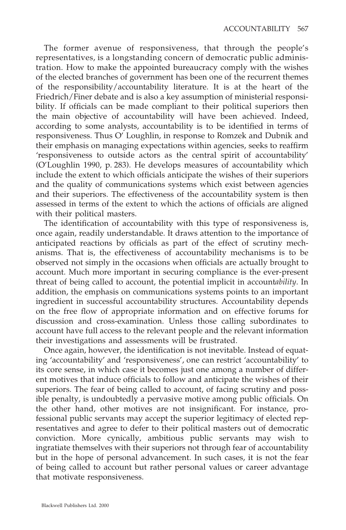The former avenue of responsiveness, that through the people's representatives, is a longstanding concern of democratic public administration. How to make the appointed bureaucracy comply with the wishes of the elected branches of government has been one of the recurrent themes of the responsibility/accountability literature. It is at the heart of the Friedrich/Finer debate and is also a key assumption of ministerial responsibility. If officials can be made compliant to their political superiors then the main objective of accountability will have been achieved. Indeed, according to some analysts, accountability is to be identified in terms of responsiveness. Thus O' Loughlin, in response to Romzek and Dubnik and their emphasis on managing expectations within agencies, seeks to reaffirm 'responsiveness to outside actors as the central spirit of accountability' (O'Loughlin 1990, p. 283). He develops measures of accountability which include the extent to which officials anticipate the wishes of their superiors and the quality of communications systems which exist between agencies and their superiors. The effectiveness of the accountability system is then assessed in terms of the extent to which the actions of officials are aligned with their political masters.

The identification of accountability with this type of responsiveness is, once again, readily understandable. It draws attention to the importance of anticipated reactions by officials as part of the effect of scrutiny mechanisms. That is, the effectiveness of accountability mechanisms is to be observed not simply in the occasions when officials are actually brought to account. Much more important in securing compliance is the ever-present threat of being called to account, the potential implicit in account*ability*. In addition, the emphasis on communications systems points to an important ingredient in successful accountability structures. Accountability depends on the free flow of appropriate information and on effective forums for discussion and cross-examination. Unless those calling subordinates to account have full access to the relevant people and the relevant information their investigations and assessments will be frustrated.

Once again, however, the identification is not inevitable. Instead of equating 'accountability' and 'responsiveness', one can restrict 'accountability' to its core sense, in which case it becomes just one among a number of different motives that induce officials to follow and anticipate the wishes of their superiors. The fear of being called to account, of facing scrutiny and possible penalty, is undoubtedly a pervasive motive among public officials. On the other hand, other motives are not insignificant. For instance, professional public servants may accept the superior legitimacy of elected representatives and agree to defer to their political masters out of democratic conviction. More cynically, ambitious public servants may wish to ingratiate themselves with their superiors not through fear of accountability but in the hope of personal advancement. In such cases, it is not the fear of being called to account but rather personal values or career advantage that motivate responsiveness.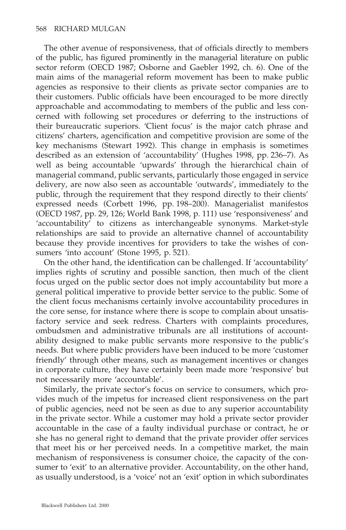The other avenue of responsiveness, that of officials directly to members of the public, has figured prominently in the managerial literature on public sector reform (OECD 1987; Osborne and Gaebler 1992, ch. 6). One of the main aims of the managerial reform movement has been to make public agencies as responsive to their clients as private sector companies are to their customers. Public officials have been encouraged to be more directly approachable and accommodating to members of the public and less concerned with following set procedures or deferring to the instructions of their bureaucratic superiors. 'Client focus' is the major catch phrase and citizens' charters, agencification and competitive provision are some of the key mechanisms (Stewart 1992). This change in emphasis is sometimes described as an extension of 'accountability' (Hughes 1998, pp. 236–7). As well as being accountable 'upwards' through the hierarchical chain of managerial command, public servants, particularly those engaged in service delivery, are now also seen as accountable 'outwards', immediately to the public, through the requirement that they respond directly to their clients' expressed needs (Corbett 1996, pp. 198–200). Managerialist manifestos (OECD 1987, pp. 29, 126; World Bank 1998, p. 111) use 'responsiveness' and 'accountability' to citizens as interchangeable synonyms. Market-style relationships are said to provide an alternative channel of accountability because they provide incentives for providers to take the wishes of consumers 'into account' (Stone 1995, p. 521).

On the other hand, the identification can be challenged. If 'accountability' implies rights of scrutiny and possible sanction, then much of the client focus urged on the public sector does not imply accountability but more a general political imperative to provide better service to the public. Some of the client focus mechanisms certainly involve accountability procedures in the core sense, for instance where there is scope to complain about unsatisfactory service and seek redress. Charters with complaints procedures, ombudsmen and administrative tribunals are all institutions of accountability designed to make public servants more responsive to the public's needs. But where public providers have been induced to be more 'customer friendly' through other means, such as management incentives or changes in corporate culture, they have certainly been made more 'responsive' but not necessarily more 'accountable'.

Similarly, the private sector's focus on service to consumers, which provides much of the impetus for increased client responsiveness on the part of public agencies, need not be seen as due to any superior accountability in the private sector. While a customer may hold a private sector provider accountable in the case of a faulty individual purchase or contract, he or she has no general right to demand that the private provider offer services that meet his or her perceived needs. In a competitive market, the main mechanism of responsiveness is consumer choice, the capacity of the consumer to 'exit' to an alternative provider. Accountability, on the other hand, as usually understood, is a 'voice' not an 'exit' option in which subordinates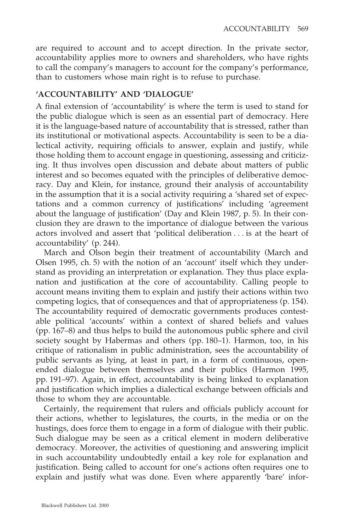are required to account and to accept direction. In the private sector, accountability applies more to owners and shareholders, who have rights to call the company's managers to account for the company's performance, than to customers whose main right is to refuse to purchase.

## **'ACCOUNTABILITY' AND 'DIALOGUE'**

A final extension of 'accountability' is where the term is used to stand for the public dialogue which is seen as an essential part of democracy. Here it is the language-based nature of accountability that is stressed, rather than its institutional or motivational aspects. Accountability is seen to be a dialectical activity, requiring officials to answer, explain and justify, while those holding them to account engage in questioning, assessing and criticizing. It thus involves open discussion and debate about matters of public interest and so becomes equated with the principles of deliberative democracy. Day and Klein, for instance, ground their analysis of accountability in the assumption that it is a social activity requiring a 'shared set of expectations and a common currency of justifications' including 'agreement about the language of justification' (Day and Klein 1987, p. 5). In their conclusion they are drawn to the importance of dialogue between the various actors involved and assert that 'political deliberation . . . is at the heart of accountability' (p. 244).

March and Olson begin their treatment of accountability (March and Olsen 1995, ch. 5) with the notion of an 'account' itself which they understand as providing an interpretation or explanation. They thus place explanation and justification at the core of accountability. Calling people to account means inviting them to explain and justify their actions within two competing logics, that of consequences and that of appropriateness (p. 154). The accountability required of democratic governments produces contestable political 'accounts' within a context of shared beliefs and values (pp. 167–8) and thus helps to build the autonomous public sphere and civil society sought by Habermas and others (pp. 180–1). Harmon, too, in his critique of rationalism in public administration, sees the accountability of public servants as lying, at least in part, in a form of continuous, openended dialogue between themselves and their publics (Harmon 1995, pp. 191–97). Again, in effect, accountability is being linked to explanation and justification which implies a dialectical exchange between officials and those to whom they are accountable.

Certainly, the requirement that rulers and officials publicly account for their actions, whether to legislatures, the courts, in the media or on the hustings, does force them to engage in a form of dialogue with their public. Such dialogue may be seen as a critical element in modern deliberative democracy. Moreover, the activities of questioning and answering implicit in such accountability undoubtedly entail a key role for explanation and justification. Being called to account for one's actions often requires one to explain and justify what was done. Even where apparently 'bare' infor-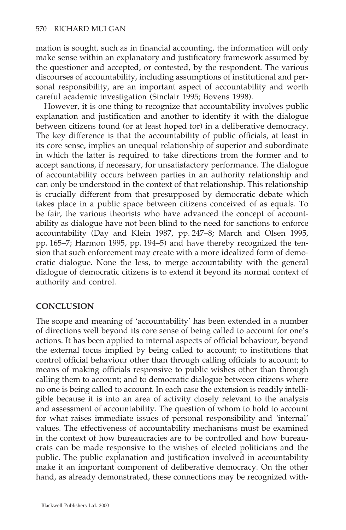mation is sought, such as in financial accounting, the information will only make sense within an explanatory and justificatory framework assumed by the questioner and accepted, or contested, by the respondent. The various discourses of accountability, including assumptions of institutional and personal responsibility, are an important aspect of accountability and worth careful academic investigation (Sinclair 1995; Bovens 1998).

However, it is one thing to recognize that accountability involves public explanation and justification and another to identify it with the dialogue between citizens found (or at least hoped for) in a deliberative democracy. The key difference is that the accountability of public officials, at least in its core sense, implies an unequal relationship of superior and subordinate in which the latter is required to take directions from the former and to accept sanctions, if necessary, for unsatisfactory performance. The dialogue of accountability occurs between parties in an authority relationship and can only be understood in the context of that relationship. This relationship is crucially different from that presupposed by democratic debate which takes place in a public space between citizens conceived of as equals. To be fair, the various theorists who have advanced the concept of accountability as dialogue have not been blind to the need for sanctions to enforce accountability (Day and Klein 1987, pp. 247–8; March and Olsen 1995, pp. 165–7; Harmon 1995, pp. 194–5) and have thereby recognized the tension that such enforcement may create with a more idealized form of democratic dialogue. None the less, to merge accountability with the general dialogue of democratic citizens is to extend it beyond its normal context of authority and control.

## **CONCLUSION**

The scope and meaning of 'accountability' has been extended in a number of directions well beyond its core sense of being called to account for one's actions. It has been applied to internal aspects of official behaviour, beyond the external focus implied by being called to account; to institutions that control official behaviour other than through calling officials to account; to means of making officials responsive to public wishes other than through calling them to account; and to democratic dialogue between citizens where no one is being called to account. In each case the extension is readily intelligible because it is into an area of activity closely relevant to the analysis and assessment of accountability. The question of whom to hold to account for what raises immediate issues of personal responsibility and 'internal' values. The effectiveness of accountability mechanisms must be examined in the context of how bureaucracies are to be controlled and how bureaucrats can be made responsive to the wishes of elected politicians and the public. The public explanation and justification involved in accountability make it an important component of deliberative democracy. On the other hand, as already demonstrated, these connections may be recognized with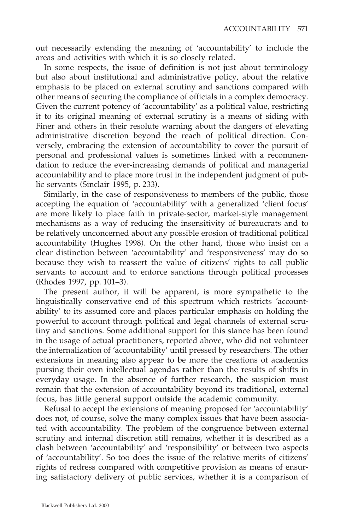out necessarily extending the meaning of 'accountability' to include the areas and activities with which it is so closely related.

In some respects, the issue of definition is not just about terminology but also about institutional and administrative policy, about the relative emphasis to be placed on external scrutiny and sanctions compared with other means of securing the compliance of officials in a complex democracy. Given the current potency of 'accountability' as a political value, restricting it to its original meaning of external scrutiny is a means of siding with Finer and others in their resolute warning about the dangers of elevating administrative discretion beyond the reach of political direction. Conversely, embracing the extension of accountability to cover the pursuit of personal and professional values is sometimes linked with a recommendation to reduce the ever-increasing demands of political and managerial accountability and to place more trust in the independent judgment of public servants (Sinclair 1995, p. 233).

Similarly, in the case of responsiveness to members of the public, those accepting the equation of 'accountability' with a generalized 'client focus' are more likely to place faith in private-sector, market-style management mechanisms as a way of reducing the insensitivity of bureaucrats and to be relatively unconcerned about any possible erosion of traditional political accountability (Hughes 1998). On the other hand, those who insist on a clear distinction between 'accountability' and 'responsiveness' may do so because they wish to reassert the value of citizens' rights to call public servants to account and to enforce sanctions through political processes (Rhodes 1997, pp. 101–3).

The present author, it will be apparent, is more sympathetic to the linguistically conservative end of this spectrum which restricts 'accountability' to its assumed core and places particular emphasis on holding the powerful to account through political and legal channels of external scrutiny and sanctions. Some additional support for this stance has been found in the usage of actual practitioners, reported above, who did not volunteer the internalization of 'accountability' until pressed by researchers. The other extensions in meaning also appear to be more the creations of academics pursing their own intellectual agendas rather than the results of shifts in everyday usage. In the absence of further research, the suspicion must remain that the extension of accountability beyond its traditional, external focus, has little general support outside the academic community.

Refusal to accept the extensions of meaning proposed for 'accountability' does not, of course, solve the many complex issues that have been associated with accountability. The problem of the congruence between external scrutiny and internal discretion still remains, whether it is described as a clash between 'accountability' and 'responsibility' or between two aspects of 'accountability'. So too does the issue of the relative merits of citizens' rights of redress compared with competitive provision as means of ensuring satisfactory delivery of public services, whether it is a comparison of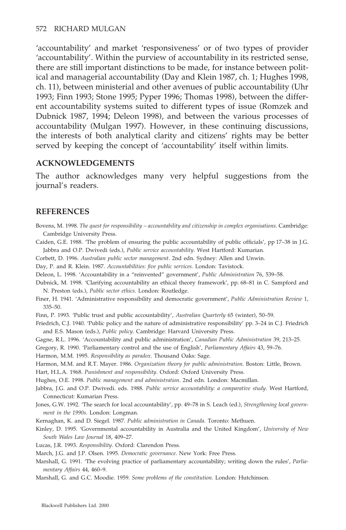'accountability' and market 'responsiveness' or of two types of provider 'accountability'. Within the purview of accountability in its restricted sense, there are still important distinctions to be made, for instance between political and managerial accountability (Day and Klein 1987, ch. 1; Hughes 1998, ch. 11), between ministerial and other avenues of public accountability (Uhr 1993; Finn 1993; Stone 1995; Pyper 1996; Thomas 1998), between the different accountability systems suited to different types of issue (Romzek and Dubnick 1987, 1994; Deleon 1998), and between the various processes of accountability (Mulgan 1997). However, in these continuing discussions, the interests of both analytical clarity and citizens' rights may be better served by keeping the concept of 'accountability' itself within limits.

## **ACKNOWLEDGEMENTS**

The author acknowledges many very helpful suggestions from the journal's readers.

# **REFERENCES**

- Bovens, M. 1998. *The quest for responsibility accountability and citizenship in complex organisations*. Cambridge: Cambridge University Press.
- Caiden, G.E. 1988. 'The problem of ensuring the public accountability of public officials', pp 17–38 in J.G. Jabbra and O.P. Dwivedi (eds.), *Public service accountability*. West Hartford: Kumarian.
- Corbett, D. 1996. *Australian public sector management*. 2nd edn. Sydney: Allen and Unwin.

Day, P. and R. Klein. 1987. *Accountabilities: five public services*. London: Tavistock.

Deleon, L. 1998. 'Accountability in a "reinvented" government', *Public Administration* 76, 539–58.

Dubnick, M. 1998. 'Clarifying accountability an ethical theory framework', pp. 68–81 in C. Sampford and N. Preston (eds.), *Public sector ethics*. London: Routledge.

Finer, H. 1941. 'Administrative responsibility and democratic government', *Public Administration Review* 1, 335–50.

Finn, P. 1993. 'Public trust and public accountability', *Australian Quarterly* 65 (winter), 50–59.

Friedrich, C.J. 1940. 'Public policy and the nature of administrative responsibility' pp. 3–24 in C.J. Friedrich and E.S. Mason (eds.), *Public policy*. Cambridge: Harvard University Press.

Gagne, R.L. 1996. 'Accountability and public administration', *Canadian Public Administration* 39, 213–25.

Gregory, R. 1990. 'Parliamentary control and the use of English', *Parliamentary Affairs* 43, 59–76.

Harmon, M.M. 1995. *Responsibility as paradox*. Thousand Oaks: Sage.

Harmon, M.M. and R.T. Mayer. 1986. *Organization theory for public administration*. Boston: Little, Brown. Hart, H.L.A. 1968. *Punishment and responsibility*. Oxford: Oxford University Press.

Hughes, O.E. 1998. *Public management and administration*. 2nd edn. London: Macmillan.

Jabbra, J.G. and O.P. Dwivedi. eds. 1988. *Public service accountability: a comparative study*. West Hartford, Connecticut: Kumarian Press.

Jones, G.W. 1992. 'The search for local accountability', pp. 49–78 in S. Leach (ed.), *Strengthening local government in the 1990s*. London: Longman.

Kernaghan, K. and D. Siegel. 1987. *Public administration in Canada*. Toronto: Methuen.

Kinley, D. 1995. 'Governmental accountability in Australia and the United Kingdom', *University of New South Wales Law Journal* 18, 409–27.

Lucas, J.R. 1993. *Responsibility*. Oxford: Clarendon Press.

March, J.G. and J.P. Olsen. 1995. *Democratic governance*. New York: Free Press.

Marshall, G. 1991. 'The evolving practice of parliamentary accountability; writing down the rules', *Parliamentary Affairs* 44, 460–9.

Marshall, G. and G.C. Moodie. 1959. *Some problems of the constitution*. London: Hutchinson.